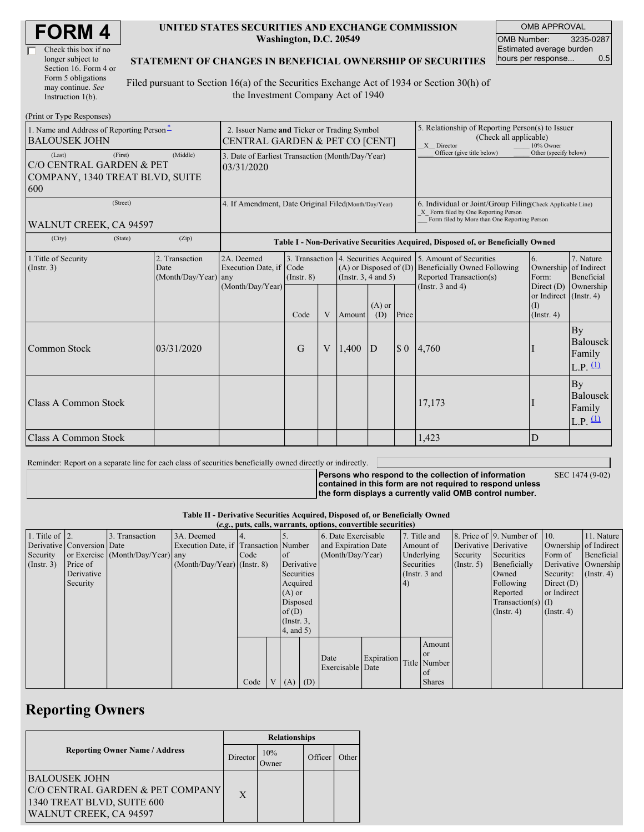| Check this box if no  |
|-----------------------|
| longer subject to     |
| Section 16. Form 4 or |
| Form 5 obligations    |
| may continue. See     |
| Instruction $1(b)$ .  |

#### **UNITED STATES SECURITIES AND EXCHANGE COMMISSION Washington, D.C. 20549**

OMB APPROVAL OMB Number: 3235-0287 Estimated average burden hours per response... 0.5

### **STATEMENT OF CHANGES IN BENEFICIAL OWNERSHIP OF SECURITIES**

Filed pursuant to Section 16(a) of the Securities Exchange Act of 1934 or Section 30(h) of the Investment Company Act of 1940

| (Print or Type Responses)                                                                         |                                                                                  |                                                           |                 |   |                          |                 |                                                                                                                                                    |                                                                                                                                                     |                                                              |                                          |
|---------------------------------------------------------------------------------------------------|----------------------------------------------------------------------------------|-----------------------------------------------------------|-----------------|---|--------------------------|-----------------|----------------------------------------------------------------------------------------------------------------------------------------------------|-----------------------------------------------------------------------------------------------------------------------------------------------------|--------------------------------------------------------------|------------------------------------------|
| 1. Name and Address of Reporting Person-<br><b>BALOUSEK JOHN</b>                                  | 2. Issuer Name and Ticker or Trading Symbol<br>CENTRAL GARDEN & PET CO [CENT]    |                                                           |                 |   |                          |                 | 5. Relationship of Reporting Person(s) to Issuer<br>(Check all applicable)<br>X Director<br>10% Owner                                              |                                                                                                                                                     |                                                              |                                          |
| (First)<br>(Last)<br><b>CO CENTRAL GARDEN &amp; PET</b><br>COMPANY, 1340 TREAT BLVD, SUITE<br>600 | 3. Date of Earliest Transaction (Month/Day/Year)<br>03/31/2020                   |                                                           |                 |   |                          |                 | Officer (give title below)                                                                                                                         | Other (specify below)                                                                                                                               |                                                              |                                          |
| (Street)<br>WALNUT CREEK, CA 94597                                                                | 4. If Amendment, Date Original Filed(Month/Day/Year)                             |                                                           |                 |   |                          |                 | 6. Individual or Joint/Group Filing(Check Applicable Line)<br>X Form filed by One Reporting Person<br>Form filed by More than One Reporting Person |                                                                                                                                                     |                                                              |                                          |
| (State)<br>(City)                                                                                 | Table I - Non-Derivative Securities Acquired, Disposed of, or Beneficially Owned |                                                           |                 |   |                          |                 |                                                                                                                                                    |                                                                                                                                                     |                                                              |                                          |
| 1. Title of Security<br>(Insert. 3)                                                               | 2. Transaction<br>Date<br>(Month/Day/Year) any                                   | 2A. Deemed<br>Execution Date, if Code<br>(Month/Day/Year) | $($ Instr. $8)$ |   | (Instr. $3, 4$ and $5$ ) |                 |                                                                                                                                                    | 3. Transaction 4. Securities Acquired 5. Amount of Securities<br>$(A)$ or Disposed of $(D)$ Beneficially Owned Following<br>Reported Transaction(s) | 6.<br>Ownership of Indirect<br>Form:                         | 7. Nature<br>Beneficial                  |
|                                                                                                   |                                                                                  |                                                           | Code            | V | Amount                   | $(A)$ or<br>(D) | Price                                                                                                                                              | (Instr. $3$ and $4$ )                                                                                                                               | Direct $(D)$<br>or Indirect (Instr. 4)<br>(I)<br>(Insert. 4) | Ownership                                |
| Common Stock                                                                                      | 03/31/2020                                                                       |                                                           | G               | V | 1.400                    | D               | $\boldsymbol{\mathsf{S}}$ 0                                                                                                                        | 4,760                                                                                                                                               |                                                              | By<br>Balousek<br>Family<br>$L.P.$ $(1)$ |
| Class A Common Stock                                                                              |                                                                                  |                                                           |                 |   |                          |                 |                                                                                                                                                    | 17,173                                                                                                                                              |                                                              | By<br>Balousek<br>Family<br>L.P. $(1)$   |
| Class A Common Stock                                                                              |                                                                                  |                                                           |                 |   |                          |                 |                                                                                                                                                    | 1,423                                                                                                                                               | D                                                            |                                          |

Reminder: Report on a separate line for each class of securities beneficially owned directly or indirectly.

**Persons who respond to the collection of information contained in this form are not required to respond unless** SEC 1474 (9-02)

**the form displays a currently valid OMB control number.**

#### **Table II - Derivative Securities Acquired, Disposed of, or Beneficially Owned (***e.g.***, puts, calls, warrants, options, convertible securities)**

| $(c, \zeta, \mu\omega, \zeta)$ cans, wall alles, options, convertible securities) |                            |                                  |                                       |      |           |                  |            |                     |            |              |                 |             |                              |                       |                      |
|-----------------------------------------------------------------------------------|----------------------------|----------------------------------|---------------------------------------|------|-----------|------------------|------------|---------------------|------------|--------------|-----------------|-------------|------------------------------|-----------------------|----------------------|
| 1. Title of $\vert$ 2.                                                            |                            | 3. Transaction                   | 3A. Deemed                            |      |           |                  |            | 6. Date Exercisable |            | 7. Title and |                 |             | 8. Price of 9. Number of 10. |                       | 11. Nature           |
|                                                                                   | Derivative Conversion Date |                                  | Execution Date, if Transaction Number |      |           |                  |            | and Expiration Date |            | Amount of    |                 |             | Derivative Derivative        | Ownership of Indirect |                      |
| Security                                                                          |                            | or Exercise (Month/Day/Year) any |                                       | Code | <b>of</b> |                  |            | (Month/Day/Year)    |            | Underlying   |                 | Security    | Securities                   | Form of               | Beneficial           |
| $($ Instr. 3 $)$                                                                  | Price of                   |                                  | $(Month/Day/Year)$ (Instr. 8)         |      |           |                  | Derivative |                     |            | Securities   |                 | (Insert, 5) | Beneficially                 |                       | Derivative Ownership |
|                                                                                   | Derivative                 |                                  |                                       |      |           | Securities       |            |                     |            |              | (Instr. $3$ and |             | Owned                        | Security:             | $($ Instr. 4)        |
|                                                                                   | Security                   |                                  |                                       |      |           | Acquired         |            |                     |            | (4)          |                 |             | Following                    | Direct $(D)$          |                      |
|                                                                                   |                            |                                  |                                       |      |           | $(A)$ or         |            |                     |            |              |                 |             | Reported                     | or Indirect           |                      |
|                                                                                   |                            |                                  |                                       |      |           | Disposed         |            |                     |            |              |                 |             | $Transaction(s)$ (I)         |                       |                      |
|                                                                                   |                            |                                  |                                       |      |           | of $(D)$         |            |                     |            |              |                 |             | $($ Instr. 4 $)$             | $($ Instr. 4 $)$      |                      |
|                                                                                   |                            |                                  |                                       |      |           | $($ Instr. $3$ , |            |                     |            |              |                 |             |                              |                       |                      |
|                                                                                   |                            |                                  |                                       |      |           | 4, and 5)        |            |                     |            |              |                 |             |                              |                       |                      |
|                                                                                   |                            |                                  |                                       |      |           |                  |            |                     |            |              | Amount          |             |                              |                       |                      |
|                                                                                   |                            |                                  |                                       |      |           |                  |            |                     |            |              | <b>or</b>       |             |                              |                       |                      |
|                                                                                   |                            |                                  |                                       |      |           |                  |            | Date                | Expiration |              | Title Number    |             |                              |                       |                      |
|                                                                                   |                            |                                  |                                       |      |           |                  |            | Exercisable Date    |            |              | of              |             |                              |                       |                      |
|                                                                                   |                            |                                  |                                       | Code |           |                  | $V(A)$ (D) |                     |            |              | <b>Shares</b>   |             |                              |                       |                      |

## **Reporting Owners**

|                                       | <b>Relationships</b> |              |         |       |  |  |  |
|---------------------------------------|----------------------|--------------|---------|-------|--|--|--|
| <b>Reporting Owner Name / Address</b> |                      | 10%<br>Owner | Officer | Other |  |  |  |
| <b>BALOUSEK JOHN</b>                  |                      |              |         |       |  |  |  |
| C/O CENTRAL GARDEN & PET COMPANY      | $\mathbf{X}$         |              |         |       |  |  |  |
| 1340 TREAT BLVD, SUITE 600            |                      |              |         |       |  |  |  |
| WALNUT CREEK, CA 94597                |                      |              |         |       |  |  |  |